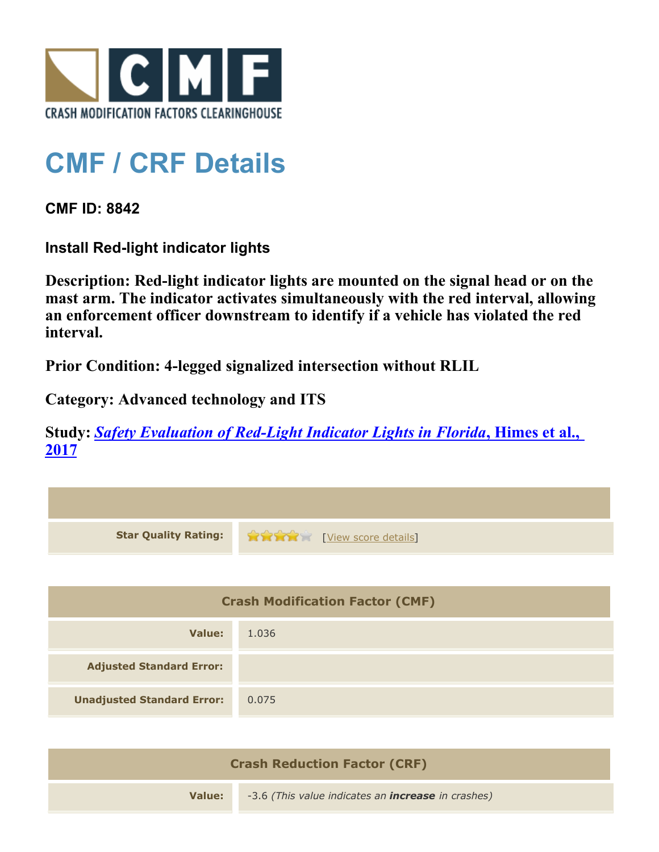

## **CMF / CRF Details**

**CMF ID: 8842**

**Install Red-light indicator lights**

**Description: Red-light indicator lights are mounted on the signal head or on the mast arm. The indicator activates simultaneously with the red interval, allowing an enforcement officer downstream to identify if a vehicle has violated the red interval.**

**Prior Condition: 4-legged signalized intersection without RLIL**

**Category: Advanced technology and ITS**

**Study:** *[Safety Evaluation of Red-Light Indicator Lights in Florida](http://www.cmfclearinghouse.org/study_detail.cfm?stid=483)***[, Himes et al.,](http://www.cmfclearinghouse.org/study_detail.cfm?stid=483) [2017](http://www.cmfclearinghouse.org/study_detail.cfm?stid=483)**

| <b>Star Quality Rating:</b>            | <b>THE EXAMPLE EXAMPLE IN THE EXAMPLE OF STATE OF STATE OF STATE OF STATE OF STATE OF STATE OF STATE OF STATE OF STATE OF STATE OF STATE OF STATE OF STATE OF STATE OF STATE OF STATE OF STATE OF STATE OF STATE OF STATE OF STA</b> |  |
|----------------------------------------|--------------------------------------------------------------------------------------------------------------------------------------------------------------------------------------------------------------------------------------|--|
|                                        |                                                                                                                                                                                                                                      |  |
| <b>Crash Modification Factor (CMF)</b> |                                                                                                                                                                                                                                      |  |
| <b>Value:</b>                          | 1.036                                                                                                                                                                                                                                |  |
| <b>Adjusted Standard Error:</b>        |                                                                                                                                                                                                                                      |  |
| <b>Unadjusted Standard Error:</b>      | 0.075                                                                                                                                                                                                                                |  |
|                                        |                                                                                                                                                                                                                                      |  |

| <b>Crash Reduction Factor (CRF)</b> |                                                           |  |
|-------------------------------------|-----------------------------------------------------------|--|
| Value:                              | -3.6 (This value indicates an <b>increase</b> in crashes) |  |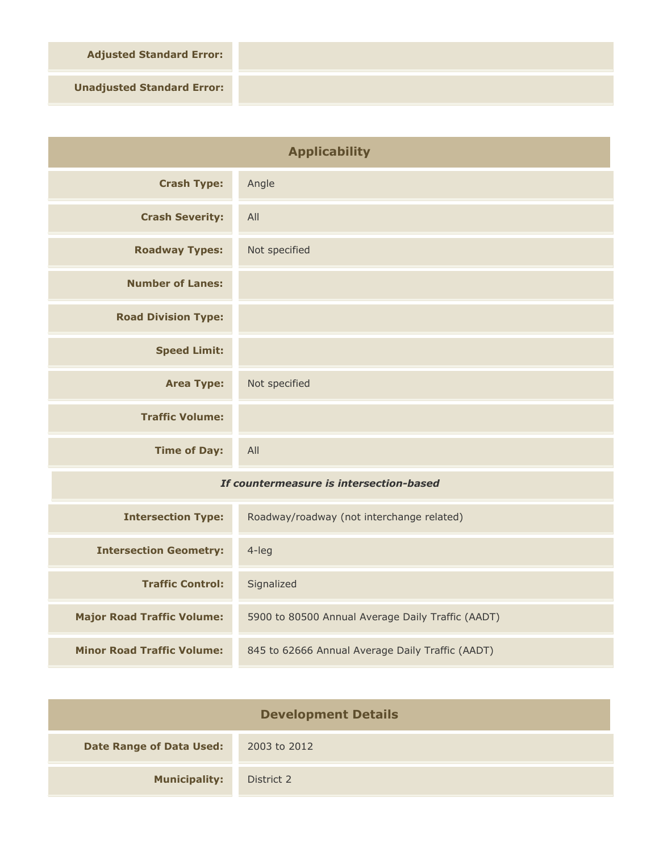**Adjusted Standard Error:**

**Unadjusted Standard Error:**

| <b>Applicability</b>                    |                                                   |
|-----------------------------------------|---------------------------------------------------|
| <b>Crash Type:</b>                      | Angle                                             |
| <b>Crash Severity:</b>                  | All                                               |
| <b>Roadway Types:</b>                   | Not specified                                     |
| <b>Number of Lanes:</b>                 |                                                   |
| <b>Road Division Type:</b>              |                                                   |
| <b>Speed Limit:</b>                     |                                                   |
| <b>Area Type:</b>                       | Not specified                                     |
| <b>Traffic Volume:</b>                  |                                                   |
| <b>Time of Day:</b>                     | All                                               |
| If countermeasure is intersection-based |                                                   |
| <b>Intersection Type:</b>               | Roadway/roadway (not interchange related)         |
| <b>Intersection Geometry:</b>           | $4$ -leg                                          |
| <b>Traffic Control:</b>                 | Signalized                                        |
| <b>Major Road Traffic Volume:</b>       | 5900 to 80500 Annual Average Daily Traffic (AADT) |
| <b>Minor Road Traffic Volume:</b>       | 845 to 62666 Annual Average Daily Traffic (AADT)  |

| <b>Development Details</b>      |              |  |
|---------------------------------|--------------|--|
| <b>Date Range of Data Used:</b> | 2003 to 2012 |  |
| <b>Municipality:</b>            | District 2   |  |